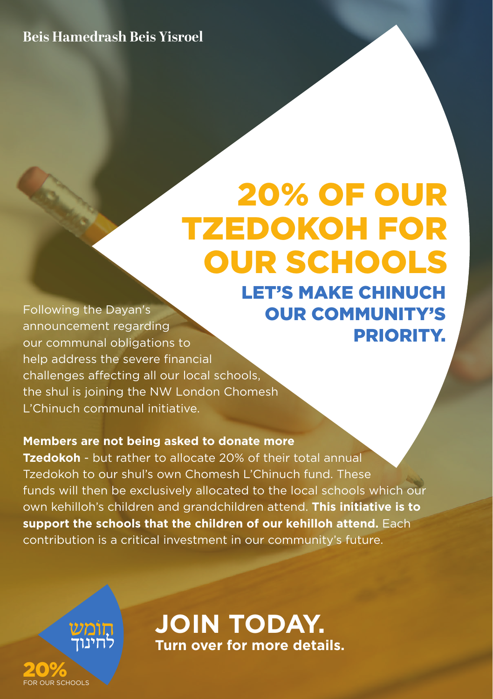### **Beis Hamedrash Beis Yisroel**

## LET'S MAKE CHINUCH OUR COMMUNITY'S PRIORITY. 20% OF OUR TZEDOKOH FOR OUR SCHOOLS

Following the Dayan's announcement regarding our communal obligations to help address the severe financial challenges affecting all our local schools, the shul is joining the NW London Chomesh L'Chinuch communal initiative.

#### **Members are not being asked to donate more**

**Tzedokoh** - but rather to allocate 20% of their total annual Tzedokoh to our shul's own Chomesh L'Chinuch fund. These funds will then be exclusively allocated to the local schools which our own kehilloh's children and grandchildren attend. **This initiative is to support the schools that the children of our kehilloh attend.** Each contribution is a critical investment in our community's future.



20% FOR OUR SCHOOLS

**JOIN TODAY. Turn over for more details.**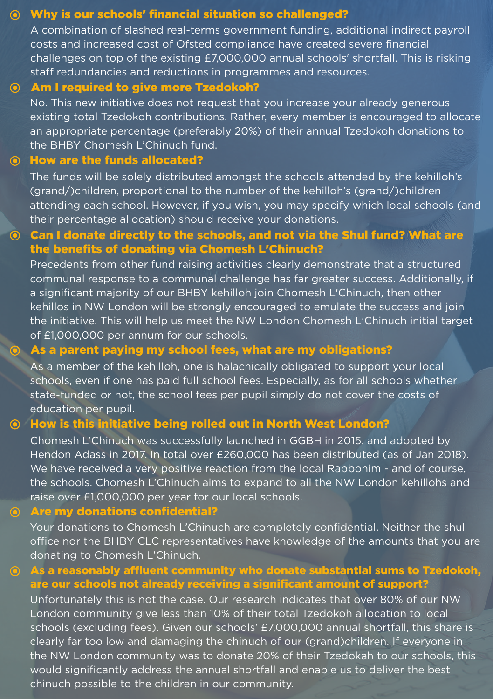#### Why is our schools' financial situation so challenged?

A combination of slashed real-terms government funding, additional indirect payroll costs and increased cost of Ofsted compliance have created severe financial challenges on top of the existing £7,000,000 annual schools' shortfall. This is risking staff redundancies and reductions in programmes and resources.

#### Am I required to give more Tzedokoh?

No. This new initiative does not request that you increase your already generous existing total Tzedokoh contributions. Rather, every member is encouraged to allocate an appropriate percentage (preferably 20%) of their annual Tzedokoh donations to the BHBY Chomesh L'Chinuch fund.

#### How are the funds allocated?

The funds will be solely distributed amongst the schools attended by the kehilloh's (grand/)children, proportional to the number of the kehilloh's (grand/)children attending each school. However, if you wish, you may specify which local schools (and their percentage allocation) should receive your donations.

#### Can I donate directly to the schools, and not via the Shul fund? What are the benefits of donating via Chomesh L'Chinuch?

Precedents from other fund raising activities clearly demonstrate that a structured communal response to a communal challenge has far greater success. Additionally, if a significant majority of our BHBY kehilloh join Chomesh L'Chinuch, then other kehillos in NW London will be strongly encouraged to emulate the success and join the initiative. This will help us meet the NW London Chomesh L'Chinuch initial target of £1,000,000 per annum for our schools.

#### As a parent paying my school fees, what are my obligations?

As a member of the kehilloh, one is halachically obligated to support your local schools, even if one has paid full school fees. Especially, as for all schools whether state-funded or not, the school fees per pupil simply do not cover the costs of education per pupil.

#### $\odot$  How is this initiative being rolled out in North West London?

Chomesh L'Chinuch was successfully launched in GGBH in 2015, and adopted by Hendon Adass in 2017. In total over £260,000 has been distributed (as of Jan 2018). We have received a very positive reaction from the local Rabbonim - and of course, the schools. Chomesh L'Chinuch aims to expand to all the NW London kehillohs and raise over £1,000,000 per year for our local schools.

#### Are my donations confidential?

Your donations to Chomesh L'Chinuch are completely confidential. Neither the shul office nor the BHBY CLC representatives have knowledge of the amounts that you are donating to Chomesh L'Chinuch.

#### As a reasonably affluent community who donate substantial sums to Tzedokoh,  $\odot$ are our schools not already receiving a significant amount of support?

Unfortunately this is not the case. Our research indicates that over 80% of our NW London community give less than 10% of their total Tzedokoh allocation to local schools (excluding fees). Given our schools' £7,000,000 annual shortfall, this share is clearly far too low and damaging the chinuch of our (grand)children. If everyone in the NW London community was to donate 20% of their Tzedokah to our schools, this would significantly address the annual shortfall and enable us to deliver the best chinuch possible to the children in our community.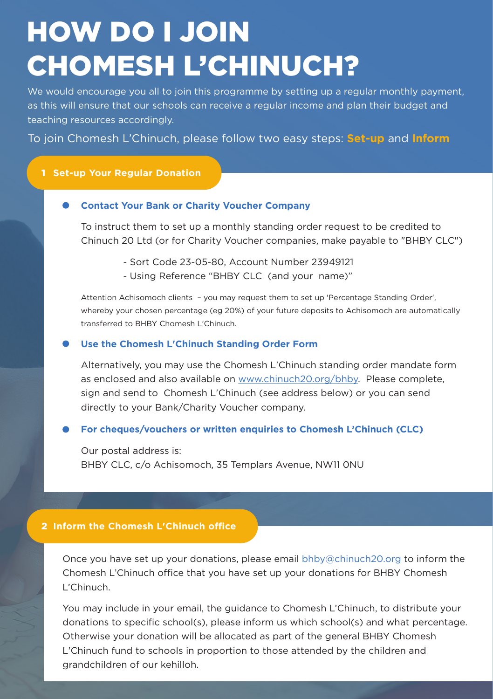# HOW DO I JOIN CHOMESH L'CHINUCH?

We would encourage you all to join this programme by setting up a regular monthly payment, as this will ensure that our schools can receive a regular income and plan their budget and teaching resources accordingly.

To join Chomesh L'Chinuch, please follow two easy steps: **Set-up** and **Inform**

#### 1 **Set-up Your Regular Donation**

#### **Contact Your Bank or Charity Voucher Company**

To instruct them to set up a monthly standing order request to be credited to Chinuch 20 Ltd (or for Charity Voucher companies, make payable to "BHBY CLC")

- Sort Code 23-05-80, Account Number 23949121
- Using Reference "BHBY CLC (and your name)"

Attention Achisomoch clients – you may request them to set up 'Percentage Standing Order', whereby your chosen percentage (eg 20%) of your future deposits to Achisomoch are automatically transferred to BHBY Chomesh L'Chinuch.

#### **Use the Chomesh L'Chinuch Standing Order Form**

Alternatively, you may use the Chomesh L'Chinuch standing order mandate form as enclosed and also available on www.chinuch20.org/bhby. Please complete, sign and send to Chomesh L'Chinuch (see address below) or you can send directly to your Bank/Charity Voucher company.

#### **For cheques/vouchers or written enquiries to Chomesh L'Chinuch (CLC)**

Our postal address is: BHBY CLC, c/o Achisomoch, 35 Templars Avenue, NW11 0NU

#### 2 **Inform the Chomesh L'Chinuch office**

Once you have set up your donations, please email bhby@chinuch20.org to inform the Chomesh L'Chinuch office that you have set up your donations for BHBY Chomesh L'Chinuch.

You may include in your email, the guidance to Chomesh L'Chinuch, to distribute your donations to specific school(s), please inform us which school(s) and what percentage. Otherwise your donation will be allocated as part of the general BHBY Chomesh L'Chinuch fund to schools in proportion to those attended by the children and grandchildren of our kehilloh.